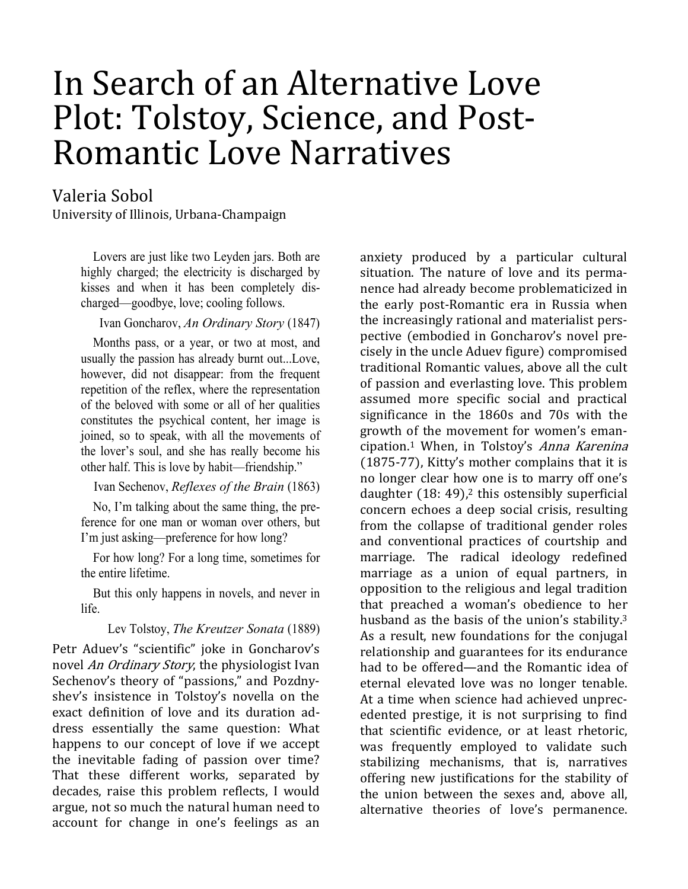# In Search of an Alternative Love Plot: Tolstoy, Science, and Post-Romantic Love Narratives

Valeria Sobol

University of Illinois, Urbana-Champaign

Lovers are just like two Leyden jars. Both are highly charged; the electricity is discharged by kisses and when it has been completely discharged—goodbye, love; cooling follows.

Ivan Goncharov, An Ordinary Story (1847)

Months pass, or a year, or two at most, and usually the passion has already burnt out...Love, however, did not disappear: from the frequent repetition of the reflex, where the representation of the beloved with some or all of her qualities constitutes the psychical content, her image is joined, so to speak, with all the movements of the lover's soul, and she has really become his other half. This is love by habit—friendship."

Ivan Sechenov, Reflexes of the Brain (1863)

No, I'm talking about the same thing, the preference for one man or woman over others, but I'm just asking—preference for how long?

For how long? For a long time, sometimes for the entire lifetime.

But this only happens in novels, and never in life.

Lev Tolstoy, The Kreutzer Sonata (1889)

Petr Aduev's "scientific" joke in Goncharov's novel An Ordinary Story, the physiologist Ivan Sechenov's theory of "passions," and Pozdnyshev's insistence in Tolstoy's novella on the exact definition of love and its duration address essentially the same question: What happens to our concept of love if we accept the inevitable fading of passion over time? That these different works, separated by decades, raise this problem reflects, I would argue, not so much the natural human need to account for change in one's feelings as an

anxiety produced by a particular cultural situation. The nature of love and its permanence had already become problematicized in the early post-Romantic era in Russia when the increasingly rational and materialist perspective (embodied in Goncharov's novel precisely in the uncle Aduev figure) compromised traditional Romantic values, above all the cult of passion and everlasting love. This problem assumed more specific social and practical significance in the 1860s and 70s with the growth of the movement for women's emancipation.1 When, in Tolstoy's Anna Karenina (1875-77), Kitty's mother complains that it is no longer clear how one is to marry off one's daughter  $(18: 49)$ ,<sup>2</sup> this ostensibly superficial concern echoes a deep social crisis, resulting from the collapse of traditional gender roles and conventional practices of courtship and marriage. The radical ideology redefined marriage as a union of equal partners, in opposition to the religious and legal tradition that preached a woman's obedience to her husband as the basis of the union's stability.<sup>3</sup> As a result, new foundations for the conjugal relationship and guarantees for its endurance had to be offered—and the Romantic idea of eternal elevated love was no longer tenable. At a time when science had achieved unprecedented prestige, it is not surprising to find that scientific evidence, or at least rhetoric, was frequently employed to validate such stabilizing mechanisms, that is, narratives offering new justifications for the stability of the union between the sexes and, above all, alternative theories of love's permanence.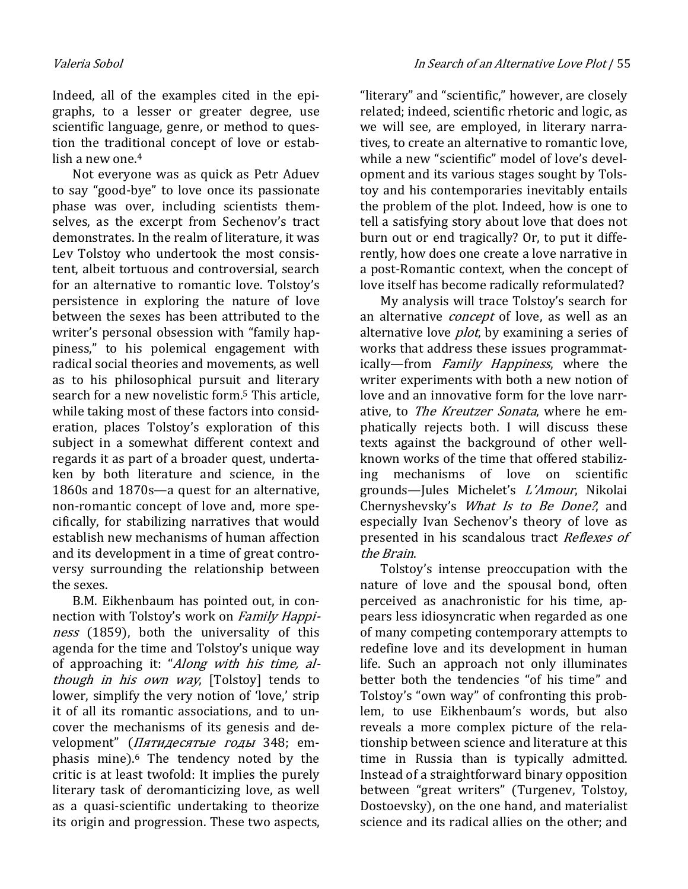Indeed, all of the examples cited in the epigraphs, to a lesser or greater degree, use scientific language, genre, or method to question the traditional concept of love or establish a new one.<sup>4</sup>

Not everyone was as quick as Petr Aduev to say "good-bye" to love once its passionate phase was over, including scientists themselves, as the excerpt from Sechenov's tract demonstrates. In the realm of literature, it was Lev Tolstoy who undertook the most consistent, albeit tortuous and controversial, search for an alternative to romantic love. Tolstoy's persistence in exploring the nature of love between the sexes has been attributed to the writer's personal obsession with "family happiness," to his polemical engagement with radical social theories and movements, as well as to his philosophical pursuit and literary search for a new novelistic form.5 This article, while taking most of these factors into consideration, places Tolstoy's exploration of this subject in a somewhat different context and regards it as part of a broader quest, undertaken by both literature and science, in the 1860s and 1870s—a quest for an alternative, non-romantic concept of love and, more specifically, for stabilizing narratives that would establish new mechanisms of human affection and its development in a time of great controversy surrounding the relationship between the sexes.

B.M. Eikhenbaum has pointed out, in connection with Tolstoy's work on Family Happiness (1859), both the universality of this agenda for the time and Tolstoy's unique way of approaching it: "Along with his time, although in his own way, [Tolstoy] tends to lower, simplify the very notion of 'love,' strip it of all its romantic associations, and to uncover the mechanisms of its genesis and development" (*Пятидесятые годы* 348; emphasis mine).6 The tendency noted by the critic is at least twofold: It implies the purely literary task of deromanticizing love, as well as a quasi-scientific undertaking to theorize its origin and progression. These two aspects,

"literary" and "scientific," however, are closely related; indeed, scientific rhetoric and logic, as we will see, are employed, in literary narratives, to create an alternative to romantic love, while a new "scientific" model of love's development and its various stages sought by Tolstoy and his contemporaries inevitably entails the problem of the plot. Indeed, how is one to tell a satisfying story about love that does not burn out or end tragically? Or, to put it differently, how does one create a love narrative in a post-Romantic context, when the concept of love itself has become radically reformulated?

My analysis will trace Tolstoy's search for an alternative *concept* of love, as well as an alternative love *plot*, by examining a series of works that address these issues programmatically—from Family Happiness, where the writer experiments with both a new notion of love and an innovative form for the love narrative, to *The Kreutzer Sonata*, where he emphatically rejects both. I will discuss these texts against the background of other wellknown works of the time that offered stabilizing mechanisms of love on scientific grounds—Jules Michelet's L'Amour, Nikolai Chernyshevsky's What Is to Be Done?, and especially Ivan Sechenov's theory of love as presented in his scandalous tract Reflexes of the Brain.

Tolstoy's intense preoccupation with the nature of love and the spousal bond, often perceived as anachronistic for his time, appears less idiosyncratic when regarded as one of many competing contemporary attempts to redefine love and its development in human life. Such an approach not only illuminates better both the tendencies "of his time" and Tolstoy's "own way" of confronting this problem, to use Eikhenbaum's words, but also reveals a more complex picture of the relationship between science and literature at this time in Russia than is typically admitted. Instead of a straightforward binary opposition between "great writers" (Turgenev, Tolstoy, Dostoevsky), on the one hand, and materialist science and its radical allies on the other; and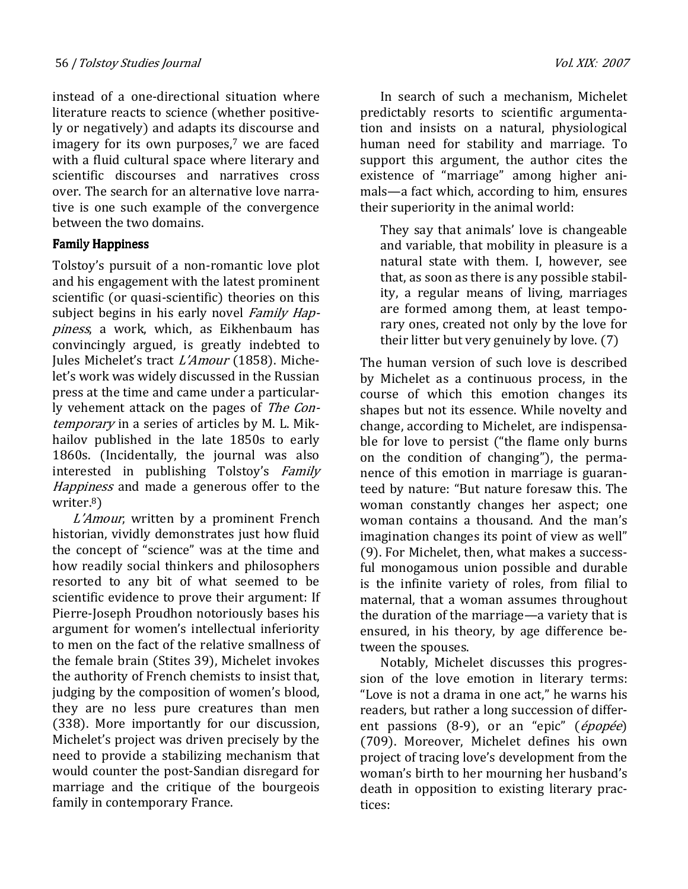instead of a one-directional situation where literature reacts to science (whether positively or negatively) and adapts its discourse and imagery for its own purposes,<sup>7</sup> we are faced with a fluid cultural space where literary and scientific discourses and narratives cross over. The search for an alternative love narrative is one such example of the convergence between the two domains.

### Family Happiness

Tolstoy's pursuit of a non-romantic love plot and his engagement with the latest prominent scientific (or quasi-scientific) theories on this subject begins in his early novel *Family Hap*piness, a work, which, as Eikhenbaum has convincingly argued, is greatly indebted to Jules Michelet's tract L'Amour (1858). Michelet's work was widely discussed in the Russian press at the time and came under a particularly vehement attack on the pages of The Contemporary in a series of articles by M. L. Mikhailov published in the late 1850s to early 1860s. (Incidentally, the journal was also interested in publishing Tolstoy's Family Happiness and made a generous offer to the writer.<sup>8</sup>)

L'Amour, written by a prominent French historian, vividly demonstrates just how fluid the concept of "science" was at the time and how readily social thinkers and philosophers resorted to any bit of what seemed to be scientific evidence to prove their argument: If Pierre-Joseph Proudhon notoriously bases his argument for women's intellectual inferiority to men on the fact of the relative smallness of the female brain (Stites 39), Michelet invokes the authority of French chemists to insist that, judging by the composition of women's blood, they are no less pure creatures than men (338). More importantly for our discussion, Michelet's project was driven precisely by the need to provide a stabilizing mechanism that would counter the post-Sandian disregard for marriage and the critique of the bourgeois family in contemporary France.

In search of such a mechanism, Michelet predictably resorts to scientific argumentation and insists on a natural, physiological human need for stability and marriage. To support this argument, the author cites the existence of "marriage" among higher animals—a fact which, according to him, ensures their superiority in the animal world:

They say that animals' love is changeable and variable, that mobility in pleasure is a natural state with them. I, however, see that, as soon as there is any possible stability, a regular means of living, marriages are formed among them, at least temporary ones, created not only by the love for their litter but very genuinely by love. (7)

The human version of such love is described by Michelet as a continuous process, in the course of which this emotion changes its shapes but not its essence. While novelty and change, according to Michelet, are indispensable for love to persist ("the flame only burns on the condition of changing"), the permanence of this emotion in marriage is guaranteed by nature: "But nature foresaw this. The woman constantly changes her aspect; one woman contains a thousand. And the man's imagination changes its point of view as well" (9). For Michelet, then, what makes a successful monogamous union possible and durable is the infinite variety of roles, from filial to maternal, that a woman assumes throughout the duration of the marriage—a variety that is ensured, in his theory, by age difference between the spouses.

Notably, Michelet discusses this progression of the love emotion in literary terms: "Love is not a drama in one act," he warns his readers, but rather a long succession of different passions (8-9), or an "epic" (épopée) (709). Moreover, Michelet defines his own project of tracing love's development from the woman's birth to her mourning her husband's death in opposition to existing literary practices: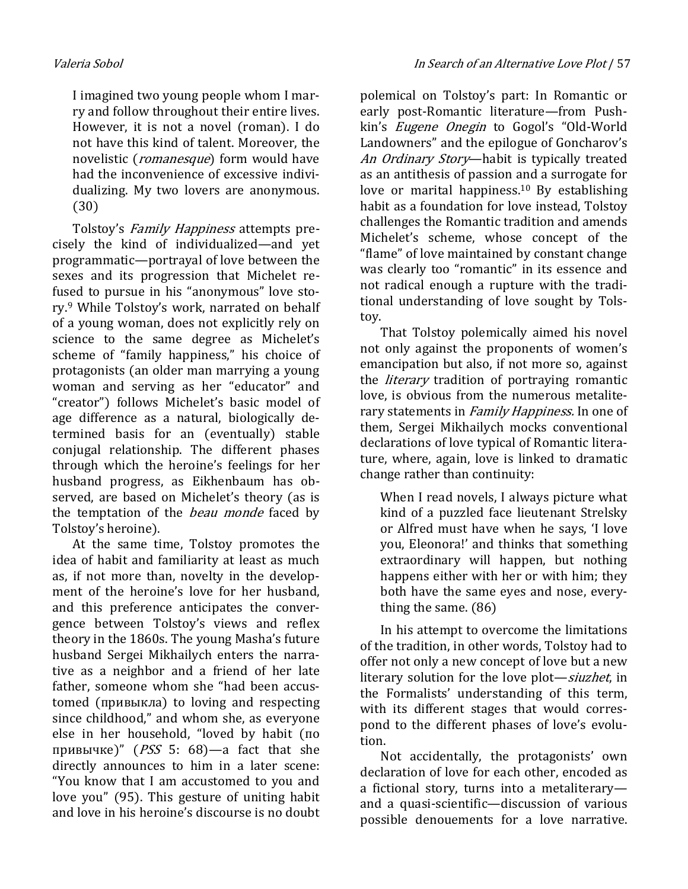I imagined two young people whom I marry and follow throughout their entire lives. However, it is not a novel (roman). I do not have this kind of talent. Moreover, the novelistic (*romanesque*) form would have had the inconvenience of excessive individualizing. My two lovers are anonymous. (30)

Tolstoy's Family Happiness attempts precisely the kind of individualized—and yet programmatic—portrayal of love between the sexes and its progression that Michelet refused to pursue in his "anonymous" love story.9 While Tolstoy's work, narrated on behalf of a young woman, does not explicitly rely on science to the same degree as Michelet's scheme of "family happiness," his choice of protagonists (an older man marrying a young woman and serving as her "educator" and "creator") follows Michelet's basic model of age difference as a natural, biologically determined basis for an (eventually) stable conjugal relationship. The different phases through which the heroine's feelings for her husband progress, as Eikhenbaum has observed, are based on Michelet's theory (as is the temptation of the *beau monde* faced by Tolstoy's heroine).

At the same time, Tolstoy promotes the idea of habit and familiarity at least as much as, if not more than, novelty in the development of the heroine's love for her husband, and this preference anticipates the convergence between Tolstoy's views and reflex theory in the 1860s. The young Masha's future husband Sergei Mikhailych enters the narrative as a neighbor and a friend of her late father, someone whom she "had been accustomed (привыкла) to loving and respecting since childhood," and whom she, as everyone else in her household, "loved by habit (по привычке)" ( $PSS$  5: 68)—a fact that she directly announces to him in a later scene: "You know that I am accustomed to you and love you" (95). This gesture of uniting habit and love in his heroine's discourse is no doubt polemical on Tolstoy's part: In Romantic or early post-Romantic literature—from Pushkin's Eugene Onegin to Gogol's "Old-World Landowners" and the epilogue of Goncharov's An Ordinary Story-habit is typically treated as an antithesis of passion and a surrogate for love or marital happiness.<sup>10</sup> By establishing habit as a foundation for love instead, Tolstoy challenges the Romantic tradition and amends Michelet's scheme, whose concept of the "flame" of love maintained by constant change was clearly too "romantic" in its essence and not radical enough a rupture with the traditional understanding of love sought by Tolstoy.

That Tolstoy polemically aimed his novel not only against the proponents of women's emancipation but also, if not more so, against the *literary* tradition of portraying romantic love, is obvious from the numerous metaliterary statements in *Family Happiness*. In one of them, Sergei Mikhailych mocks conventional declarations of love typical of Romantic literature, where, again, love is linked to dramatic change rather than continuity:

When I read novels, I always picture what kind of a puzzled face lieutenant Strelsky or Alfred must have when he says, 'I love you, Eleonora!' and thinks that something extraordinary will happen, but nothing happens either with her or with him; they both have the same eyes and nose, everything the same. (86)

In his attempt to overcome the limitations of the tradition, in other words, Tolstoy had to offer not only a new concept of love but a new literary solution for the love plot—siuzhet, in the Formalists' understanding of this term, with its different stages that would correspond to the different phases of love's evolution.

Not accidentally, the protagonists' own declaration of love for each other, encoded as a fictional story, turns into a metaliterary and a quasi-scientific—discussion of various possible denouements for a love narrative.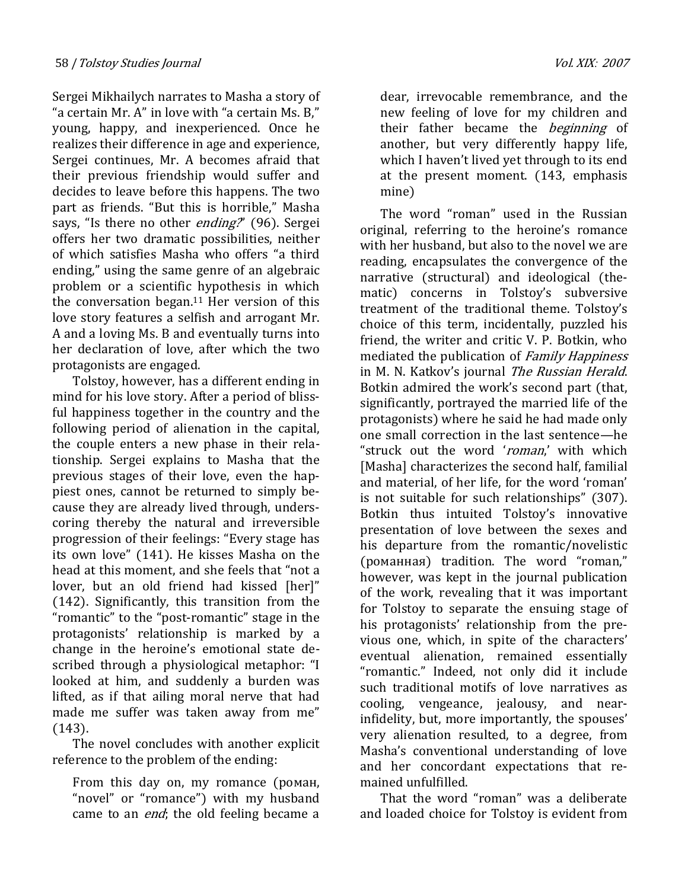Sergei Mikhailych narrates to Masha a story of "a certain Mr. A" in love with "a certain Ms. B," young, happy, and inexperienced. Once he realizes their difference in age and experience, Sergei continues, Mr. A becomes afraid that their previous friendship would suffer and decides to leave before this happens. The two part as friends. "But this is horrible," Masha says, "Is there no other *ending?*" (96). Sergei offers her two dramatic possibilities, neither of which satisfies Masha who offers "a third ending," using the same genre of an algebraic problem or a scientific hypothesis in which the conversation began. $11$  Her version of this love story features a selfish and arrogant Mr. A and a loving Ms. B and eventually turns into her declaration of love, after which the two protagonists are engaged.

Tolstoy, however, has a different ending in mind for his love story. After a period of blissful happiness together in the country and the following period of alienation in the capital, the couple enters a new phase in their relationship. Sergei explains to Masha that the previous stages of their love, even the happiest ones, cannot be returned to simply because they are already lived through, underscoring thereby the natural and irreversible progression of their feelings: "Every stage has its own love" (141). He kisses Masha on the head at this moment, and she feels that "not a lover, but an old friend had kissed [her]" (142). Significantly, this transition from the "romantic" to the "post-romantic" stage in the protagonists' relationship is marked by a change in the heroine's emotional state described through a physiological metaphor: "I looked at him, and suddenly a burden was lifted, as if that ailing moral nerve that had made me suffer was taken away from me" (143).

The novel concludes with another explicit reference to the problem of the ending:

From this day on, my romance (роман, "novel" or "romance") with my husband came to an *end*; the old feeling became a dear, irrevocable remembrance, and the new feeling of love for my children and their father became the *beginning* of another, but very differently happy life, which I haven't lived yet through to its end at the present moment. (143, emphasis mine)

The word "roman" used in the Russian original, referring to the heroine's romance with her husband, but also to the novel we are reading, encapsulates the convergence of the narrative (structural) and ideological (thematic) concerns in Tolstoy's subversive treatment of the traditional theme. Tolstoy's choice of this term, incidentally, puzzled his friend, the writer and critic V. P. Botkin, who mediated the publication of *Family Happiness* in M. N. Katkov's journal The Russian Herald. Botkin admired the work's second part (that, significantly, portrayed the married life of the protagonists) where he said he had made only one small correction in the last sentence—he "struck out the word 'roman,' with which [Masha] characterizes the second half, familial and material, of her life, for the word 'roman' is not suitable for such relationships" (307). Botkin thus intuited Tolstoy's innovative presentation of love between the sexes and his departure from the romantic/novelistic (романная) tradition. The word "roman," however, was kept in the journal publication of the work, revealing that it was important for Tolstoy to separate the ensuing stage of his protagonists' relationship from the previous one, which, in spite of the characters' eventual alienation, remained essentially "romantic." Indeed, not only did it include such traditional motifs of love narratives as cooling, vengeance, jealousy, and nearinfidelity, but, more importantly, the spouses' very alienation resulted, to a degree, from Masha's conventional understanding of love and her concordant expectations that remained unfulfilled.

That the word "roman" was a deliberate and loaded choice for Tolstoy is evident from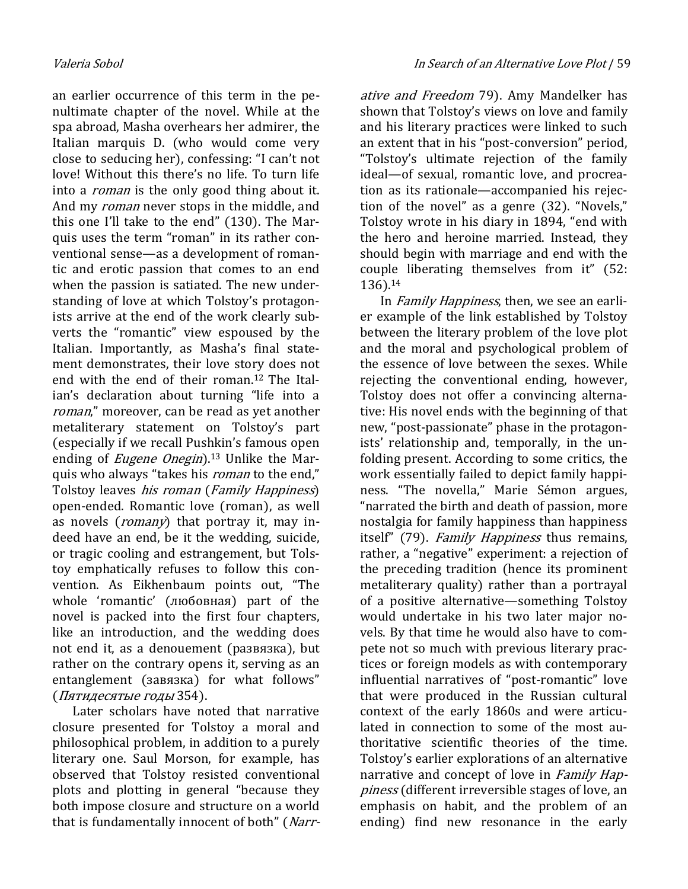an earlier occurrence of this term in the penultimate chapter of the novel. While at the spa abroad, Masha overhears her admirer, the Italian marquis D. (who would come very close to seducing her), confessing: "I can't not love! Without this there's no life. To turn life into a *roman* is the only good thing about it. And my *roman* never stops in the middle, and this one I'll take to the end" (130). The Marquis uses the term "roman" in its rather conventional sense—as a development of romantic and erotic passion that comes to an end when the passion is satiated. The new understanding of love at which Tolstoy's protagonists arrive at the end of the work clearly subverts the "romantic" view espoused by the Italian. Importantly, as Masha's final statement demonstrates, their love story does not end with the end of their roman.12 The Italian's declaration about turning "life into a roman," moreover, can be read as yet another metaliterary statement on Tolstoy's part (especially if we recall Pushkin's famous open ending of *Eugene Onegin*).<sup>13</sup> Unlike the Marquis who always "takes his *roman* to the end," Tolstoy leaves his roman (Family Happiness) open-ended. Romantic love (roman), as well as novels (*romany*) that portray it, may indeed have an end, be it the wedding, suicide, or tragic cooling and estrangement, but Tolstoy emphatically refuses to follow this convention. As Eikhenbaum points out, "The whole 'romantic' (любовная) part of the novel is packed into the first four chapters, like an introduction, and the wedding does not end it, as a denouement (развязка), but rather on the contrary opens it, serving as an entanglement (завязка) for what follows" (Пятидесятые годы 354).

Later scholars have noted that narrative closure presented for Tolstoy a moral and philosophical problem, in addition to a purely literary one. Saul Morson, for example, has observed that Tolstoy resisted conventional plots and plotting in general "because they both impose closure and structure on a world that is fundamentally innocent of both" (Narr-

ative and Freedom 79). Amy Mandelker has shown that Tolstoy's views on love and family and his literary practices were linked to such an extent that in his "post-conversion" period, "Tolstoy's ultimate rejection of the family ideal—of sexual, romantic love, and procreation as its rationale—accompanied his rejection of the novel" as a genre (32). "Novels," Tolstoy wrote in his diary in 1894, "end with the hero and heroine married. Instead, they should begin with marriage and end with the couple liberating themselves from it" (52: 136).<sup>14</sup>

In *Family Happiness*, then, we see an earlier example of the link established by Tolstoy between the literary problem of the love plot and the moral and psychological problem of the essence of love between the sexes. While rejecting the conventional ending, however, Tolstoy does not offer a convincing alternative: His novel ends with the beginning of that new, "post-passionate" phase in the protagonists' relationship and, temporally, in the unfolding present. According to some critics, the work essentially failed to depict family happiness. "The novella," Marie Sémon argues, "narrated the birth and death of passion, more nostalgia for family happiness than happiness itself" (79). Family Happiness thus remains, rather, a "negative" experiment: a rejection of the preceding tradition (hence its prominent metaliterary quality) rather than a portrayal of a positive alternative—something Tolstoy would undertake in his two later major novels. By that time he would also have to compete not so much with previous literary practices or foreign models as with contemporary influential narratives of "post-romantic" love that were produced in the Russian cultural context of the early 1860s and were articulated in connection to some of the most authoritative scientific theories of the time. Tolstoy's earlier explorations of an alternative narrative and concept of love in Family Happiness (different irreversible stages of love, an emphasis on habit, and the problem of an ending) find new resonance in the early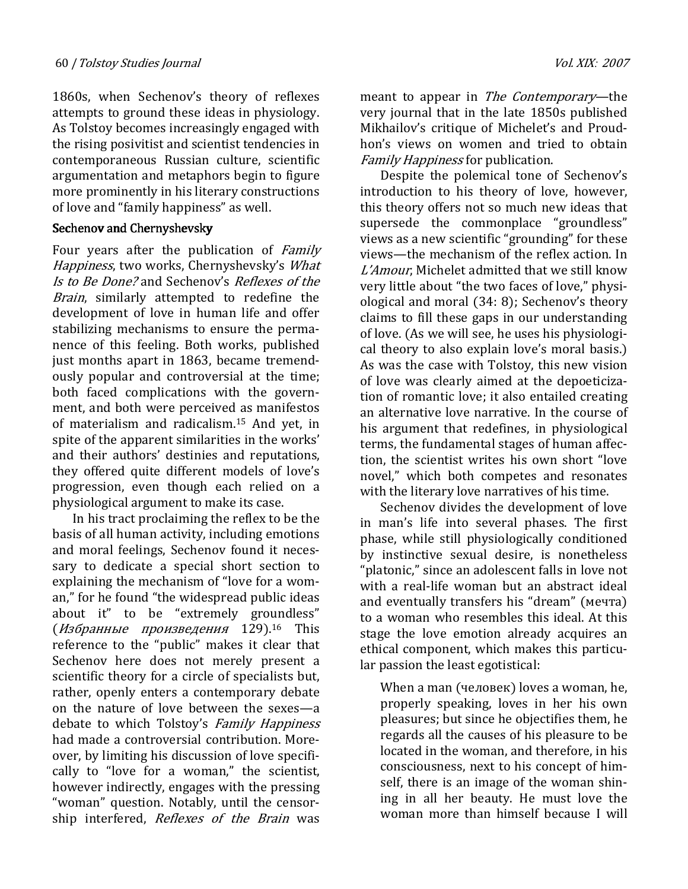1860s, when Sechenov's theory of reflexes attempts to ground these ideas in physiology. As Tolstoy becomes increasingly engaged with the rising posivitist and scientist tendencies in contemporaneous Russian culture, scientific argumentation and metaphors begin to figure more prominently in his literary constructions of love and "family happiness" as well.

#### Sechenov and Chernyshevsky

Four years after the publication of Family Happiness, two works, Chernyshevsky's What Is to Be Done? and Sechenov's Reflexes of the Brain, similarly attempted to redefine the development of love in human life and offer stabilizing mechanisms to ensure the permanence of this feeling. Both works, published just months apart in 1863, became tremendously popular and controversial at the time; both faced complications with the government, and both were perceived as manifestos of materialism and radicalism.15 And yet, in spite of the apparent similarities in the works' and their authors' destinies and reputations, they offered quite different models of love's progression, even though each relied on a physiological argument to make its case.

In his tract proclaiming the reflex to be the basis of all human activity, including emotions and moral feelings, Sechenov found it necessary to dedicate a special short section to explaining the mechanism of "love for a woman," for he found "the widespread public ideas about it" to be "extremely groundless" (Избранные произведения 129).16 This reference to the "public" makes it clear that Sechenov here does not merely present a scientific theory for a circle of specialists but, rather, openly enters a contemporary debate on the nature of love between the sexes—a debate to which Tolstoy's Family Happiness had made a controversial contribution. Moreover, by limiting his discussion of love specifically to "love for a woman," the scientist, however indirectly, engages with the pressing "woman" question. Notably, until the censorship interfered, Reflexes of the Brain was

meant to appear in The Contemporary—the very journal that in the late 1850s published Mikhailov's critique of Michelet's and Proudhon's views on women and tried to obtain Family Happiness for publication.

Despite the polemical tone of Sechenov's introduction to his theory of love, however, this theory offers not so much new ideas that supersede the commonplace "groundless" views as a new scientific "grounding" for these views—the mechanism of the reflex action. In L'Amour, Michelet admitted that we still know very little about "the two faces of love," physiological and moral (34: 8); Sechenov's theory claims to fill these gaps in our understanding of love. (As we will see, he uses his physiological theory to also explain love's moral basis.) As was the case with Tolstoy, this new vision of love was clearly aimed at the depoeticization of romantic love; it also entailed creating an alternative love narrative. In the course of his argument that redefines, in physiological terms, the fundamental stages of human affection, the scientist writes his own short "love novel," which both competes and resonates with the literary love narratives of his time.

Sechenov divides the development of love in man's life into several phases. The first phase, while still physiologically conditioned by instinctive sexual desire, is nonetheless "platonic," since an adolescent falls in love not with a real-life woman but an abstract ideal and eventually transfers his "dream" (мечта) to a woman who resembles this ideal. At this stage the love emotion already acquires an ethical component, which makes this particular passion the least egotistical:

When a man (человек) loves a woman, he, properly speaking, loves in her his own pleasures; but since he objectifies them, he regards all the causes of his pleasure to be located in the woman, and therefore, in his consciousness, next to his concept of himself, there is an image of the woman shining in all her beauty. He must love the woman more than himself because I will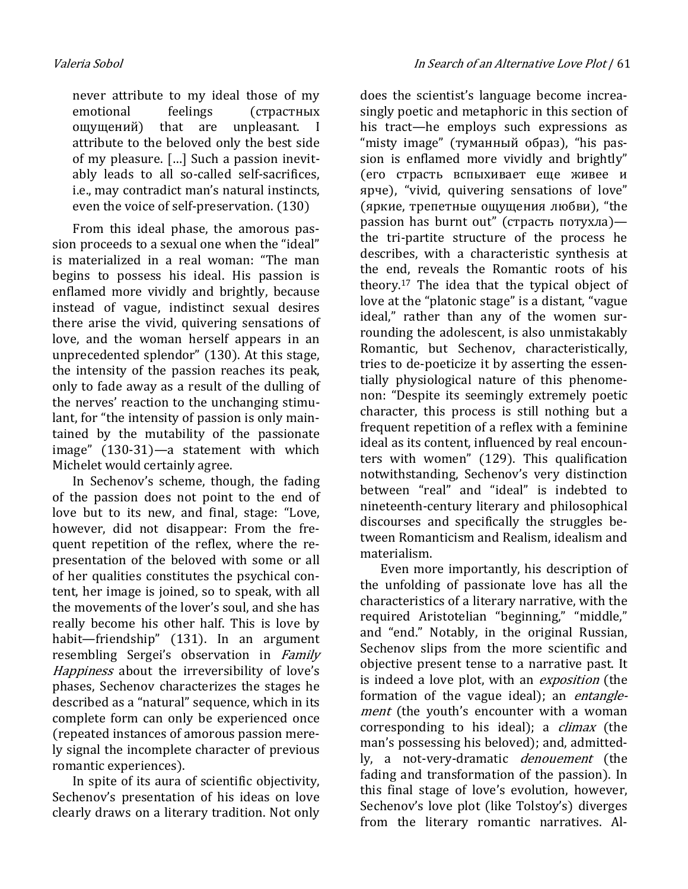never attribute to my ideal those of my emotional feelings (страстных ощущений) that are unpleasant. I attribute to the beloved only the best side of my pleasure. […] Such a passion inevitably leads to all so-called self-sacrifices, i.e., may contradict man's natural instincts, even the voice of self-preservation. (130)

From this ideal phase, the amorous passion proceeds to a sexual one when the "ideal" is materialized in a real woman: "The man begins to possess his ideal. His passion is enflamed more vividly and brightly, because instead of vague, indistinct sexual desires there arise the vivid, quivering sensations of love, and the woman herself appears in an unprecedented splendor" (130). At this stage, the intensity of the passion reaches its peak, only to fade away as a result of the dulling of the nerves' reaction to the unchanging stimulant, for "the intensity of passion is only maintained by the mutability of the passionate image" (130-31)—a statement with which Michelet would certainly agree.

In Sechenov's scheme, though, the fading of the passion does not point to the end of love but to its new, and final, stage: "Love, however, did not disappear: From the frequent repetition of the reflex, where the representation of the beloved with some or all of her qualities constitutes the psychical content, her image is joined, so to speak, with all the movements of the lover's soul, and she has really become his other half. This is love by habit—friendship" (131). In an argument resembling Sergei's observation in Family Happiness about the irreversibility of love's phases, Sechenov characterizes the stages he described as a "natural" sequence, which in its complete form can only be experienced once (repeated instances of amorous passion merely signal the incomplete character of previous romantic experiences).

In spite of its aura of scientific objectivity, Sechenov's presentation of his ideas on love clearly draws on a literary tradition. Not only does the scientist's language become increasingly poetic and metaphoric in this section of his tract—he employs such expressions as "misty image" (туманный образ), "his passion is enflamed more vividly and brightly" (его страсть вспыхивает еще живее и ярче), "vivid, quivering sensations of love" (яркие, трепетные ощущения любви), "the passion has burnt out" (страсть потухла) the tri-partite structure of the process he describes, with a characteristic synthesis at the end, reveals the Romantic roots of his theory.17 The idea that the typical object of love at the "platonic stage" is a distant, "vague ideal," rather than any of the women surrounding the adolescent, is also unmistakably Romantic, but Sechenov, characteristically, tries to de-poeticize it by asserting the essentially physiological nature of this phenomenon: "Despite its seemingly extremely poetic character, this process is still nothing but a frequent repetition of a reflex with a feminine ideal as its content, influenced by real encounters with women" (129). This qualification notwithstanding, Sechenov's very distinction between "real" and "ideal" is indebted to nineteenth-century literary and philosophical discourses and specifically the struggles between Romanticism and Realism, idealism and materialism.

Even more importantly, his description of the unfolding of passionate love has all the characteristics of a literary narrative, with the required Aristotelian "beginning," "middle," and "end." Notably, in the original Russian, Sechenov slips from the more scientific and objective present tense to a narrative past. It is indeed a love plot, with an *exposition* (the formation of the vague ideal); an *entangle*ment (the youth's encounter with a woman corresponding to his ideal); a *climax* (the man's possessing his beloved); and, admittedly, a not-very-dramatic *denouement* (the fading and transformation of the passion). In this final stage of love's evolution, however, Sechenov's love plot (like Tolstoy's) diverges from the literary romantic narratives. Al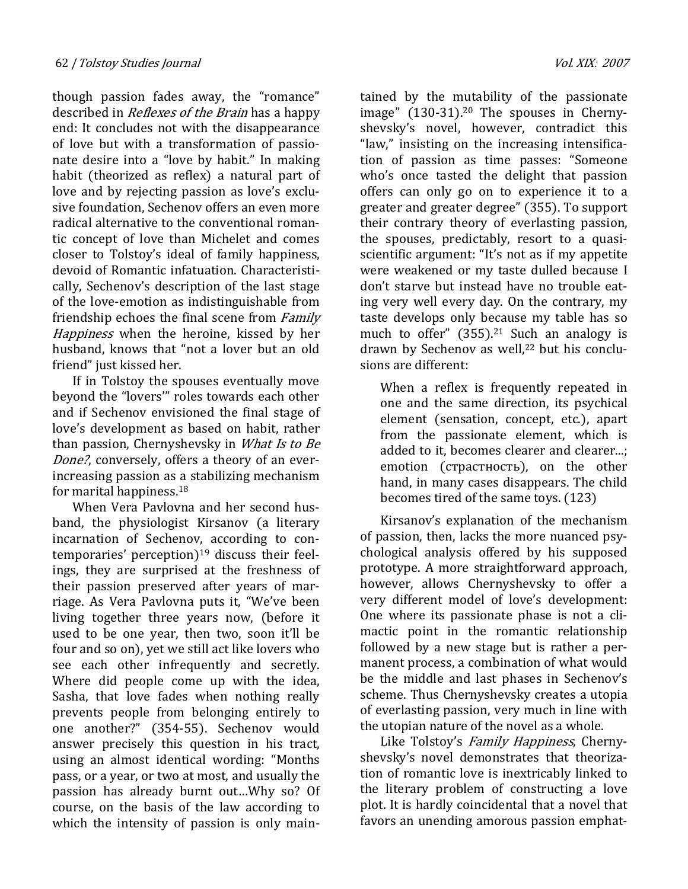though passion fades away, the "romance" described in *Reflexes of the Brain* has a happy end: It concludes not with the disappearance of love but with a transformation of passionate desire into a "love by habit." In making habit (theorized as reflex) a natural part of love and by rejecting passion as love's exclusive foundation, Sechenov offers an even more radical alternative to the conventional romantic concept of love than Michelet and comes closer to Tolstoy's ideal of family happiness, devoid of Romantic infatuation. Characteristically, Sechenov's description of the last stage of the love-emotion as indistinguishable from friendship echoes the final scene from *Family* Happiness when the heroine, kissed by her husband, knows that "not a lover but an old friend" just kissed her.

If in Tolstoy the spouses eventually move beyond the "lovers'" roles towards each other and if Sechenov envisioned the final stage of love's development as based on habit, rather than passion, Chernyshevsky in *What Is to Be* Done?, conversely, offers a theory of an everincreasing passion as a stabilizing mechanism for marital happiness.<sup>18</sup>

When Vera Pavlovna and her second husband, the physiologist Kirsanov (a literary incarnation of Sechenov, according to contemporaries' perception)19 discuss their feelings, they are surprised at the freshness of their passion preserved after years of marriage. As Vera Pavlovna puts it, "We've been living together three years now, (before it used to be one year, then two, soon it'll be four and so on), yet we still act like lovers who see each other infrequently and secretly. Where did people come up with the idea, Sasha, that love fades when nothing really prevents people from belonging entirely to one another?" (354-55). Sechenov would answer precisely this question in his tract, using an almost identical wording: "Months pass, or a year, or two at most, and usually the passion has already burnt out…Why so? Of course, on the basis of the law according to which the intensity of passion is only maintained by the mutability of the passionate image" (130-31).<sup>20</sup> The spouses in Chernyshevsky's novel, however, contradict this "law," insisting on the increasing intensification of passion as time passes: "Someone who's once tasted the delight that passion offers can only go on to experience it to a greater and greater degree" (355). To support their contrary theory of everlasting passion, the spouses, predictably, resort to a quasiscientific argument: "It's not as if my appetite were weakened or my taste dulled because I don't starve but instead have no trouble eating very well every day. On the contrary, my taste develops only because my table has so much to offer"  $(355).^{21}$  Such an analogy is drawn by Sechenov as well,<sup>22</sup> but his conclusions are different:

When a reflex is frequently repeated in one and the same direction, its psychical element (sensation, concept, etc.), apart from the passionate element, which is added to it, becomes clearer and clearer...; emotion (страстность), on the other hand, in many cases disappears. The child becomes tired of the same toys. (123)

Kirsanov's explanation of the mechanism of passion, then, lacks the more nuanced psychological analysis offered by his supposed prototype. A more straightforward approach, however, allows Chernyshevsky to offer a very different model of love's development: One where its passionate phase is not a climactic point in the romantic relationship followed by a new stage but is rather a permanent process, a combination of what would be the middle and last phases in Sechenov's scheme. Thus Chernyshevsky creates a utopia of everlasting passion, very much in line with the utopian nature of the novel as a whole.

Like Tolstoy's Family Happiness, Chernyshevsky's novel demonstrates that theorization of romantic love is inextricably linked to the literary problem of constructing a love plot. It is hardly coincidental that a novel that favors an unending amorous passion emphat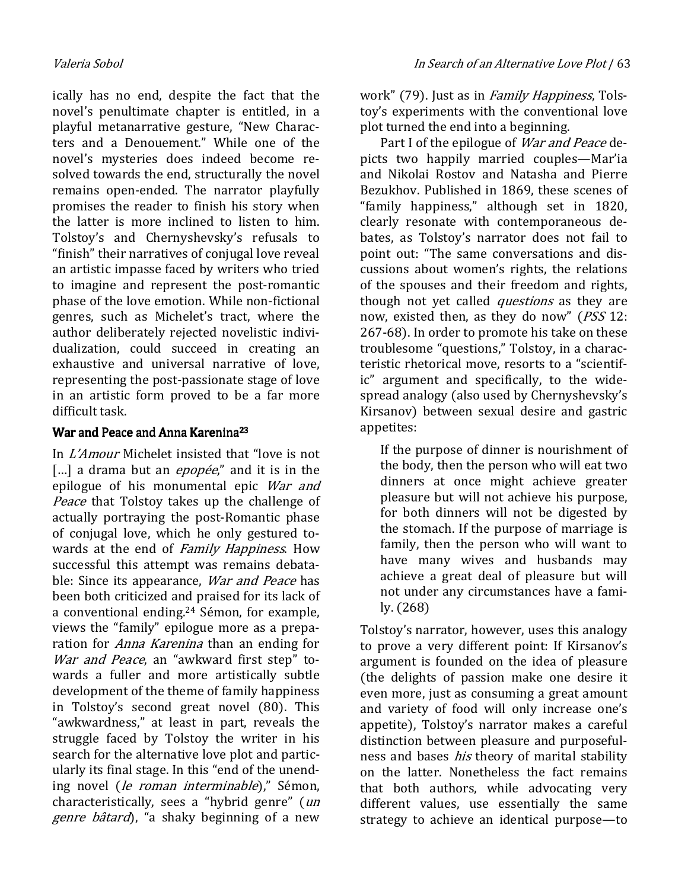ically has no end, despite the fact that the novel's penultimate chapter is entitled, in a playful metanarrative gesture, "New Characters and a Denouement." While one of the novel's mysteries does indeed become resolved towards the end, structurally the novel remains open-ended. The narrator playfully promises the reader to finish his story when the latter is more inclined to listen to him. Tolstoy's and Chernyshevsky's refusals to "finish" their narratives of conjugal love reveal an artistic impasse faced by writers who tried to imagine and represent the post-romantic phase of the love emotion. While non-fictional genres, such as Michelet's tract, where the author deliberately rejected novelistic individualization, could succeed in creating an exhaustive and universal narrative of love, representing the post-passionate stage of love in an artistic form proved to be a far more difficult task.

## War and Peace and Anna Karenina<sup>23</sup>

In L'Amour Michelet insisted that "love is not [...] a drama but an  $\epsilon$ *popée*," and it is in the epilogue of his monumental epic War and Peace that Tolstoy takes up the challenge of actually portraying the post-Romantic phase of conjugal love, which he only gestured towards at the end of Family Happiness. How successful this attempt was remains debatable: Since its appearance, *War and Peace* has been both criticized and praised for its lack of a conventional ending.24 Sémon, for example, views the "family" epilogue more as a preparation for *Anna Karenina* than an ending for War and Peace, an "awkward first step" towards a fuller and more artistically subtle development of the theme of family happiness in Tolstoy's second great novel (80). This "awkwardness," at least in part, reveals the struggle faced by Tolstoy the writer in his search for the alternative love plot and particularly its final stage. In this "end of the unending novel (le roman interminable)," Sémon, characteristically, sees a "hybrid genre" (un genre bâtard), "a shaky beginning of a new

work" (79). Just as in *Family Happiness*, Tolstoy's experiments with the conventional love plot turned the end into a beginning.

Part I of the epilogue of *War and Peace* depicts two happily married couples—Mar'ia and Nikolai Rostov and Natasha and Pierre Bezukhov. Published in 1869, these scenes of "family happiness," although set in 1820, clearly resonate with contemporaneous debates, as Tolstoy's narrator does not fail to point out: "The same conversations and discussions about women's rights, the relations of the spouses and their freedom and rights, though not yet called *questions* as they are now, existed then, as they do now" (*PSS* 12: 267-68). In order to promote his take on these troublesome "questions," Tolstoy, in a characteristic rhetorical move, resorts to a "scientific" argument and specifically, to the widespread analogy (also used by Chernyshevsky's Kirsanov) between sexual desire and gastric appetites:

If the purpose of dinner is nourishment of the body, then the person who will eat two dinners at once might achieve greater pleasure but will not achieve his purpose, for both dinners will not be digested by the stomach. If the purpose of marriage is family, then the person who will want to have many wives and husbands may achieve a great deal of pleasure but will not under any circumstances have a family. (268)

Tolstoy's narrator, however, uses this analogy to prove a very different point: If Kirsanov's argument is founded on the idea of pleasure (the delights of passion make one desire it even more, just as consuming a great amount and variety of food will only increase one's appetite), Tolstoy's narrator makes a careful distinction between pleasure and purposefulness and bases *his* theory of marital stability on the latter. Nonetheless the fact remains that both authors, while advocating very different values, use essentially the same strategy to achieve an identical purpose—to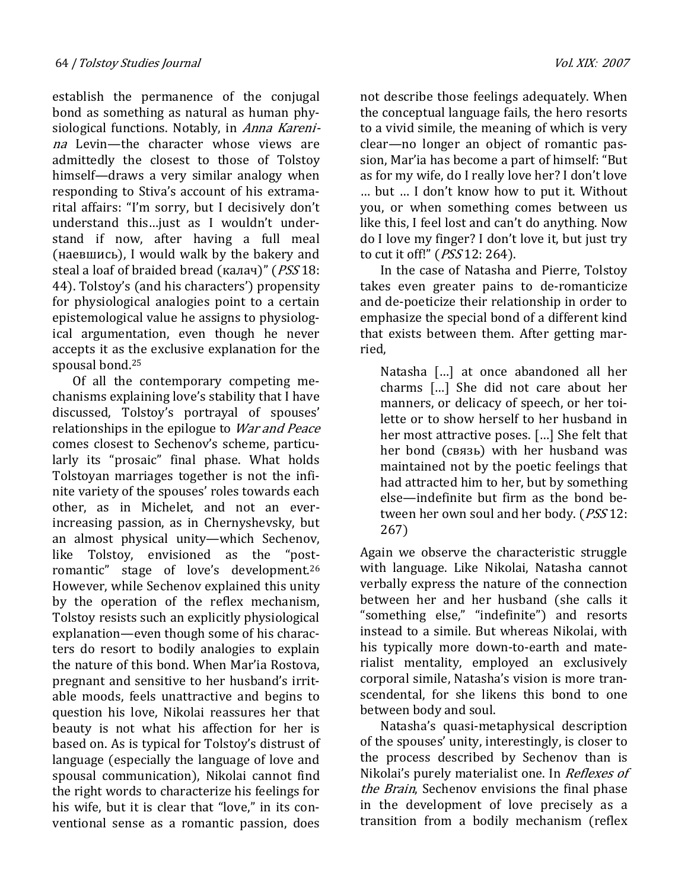establish the permanence of the conjugal bond as something as natural as human physiological functions. Notably, in Anna Karenina Levin—the character whose views are admittedly the closest to those of Tolstoy himself—draws a very similar analogy when responding to Stiva's account of his extramarital affairs: "I'm sorry, but I decisively don't understand this…just as I wouldn't understand if now, after having a full meal (наевшись), I would walk by the bakery and steal a loaf of braided bread (калач)" (PSS 18: 44). Tolstoy's (and his characters') propensity for physiological analogies point to a certain epistemological value he assigns to physiological argumentation, even though he never accepts it as the exclusive explanation for the spousal bond.<sup>25</sup>

Of all the contemporary competing mechanisms explaining love's stability that I have discussed, Tolstoy's portrayal of spouses' relationships in the epilogue to *War and Peace* comes closest to Sechenov's scheme, particularly its "prosaic" final phase. What holds Tolstoyan marriages together is not the infinite variety of the spouses' roles towards each other, as in Michelet, and not an everincreasing passion, as in Chernyshevsky, but an almost physical unity—which Sechenov, like Tolstoy, envisioned as the "postromantic" stage of love's development.<sup>26</sup> However, while Sechenov explained this unity by the operation of the reflex mechanism, Tolstoy resists such an explicitly physiological explanation—even though some of his characters do resort to bodily analogies to explain the nature of this bond. When Mar'ia Rostova, pregnant and sensitive to her husband's irritable moods, feels unattractive and begins to question his love, Nikolai reassures her that beauty is not what his affection for her is based on. As is typical for Tolstoy's distrust of language (especially the language of love and spousal communication), Nikolai cannot find the right words to characterize his feelings for his wife, but it is clear that "love," in its conventional sense as a romantic passion, does

not describe those feelings adequately. When the conceptual language fails, the hero resorts to a vivid simile, the meaning of which is very clear—no longer an object of romantic passion, Mar'ia has become a part of himself: "But as for my wife, do I really love her? I don't love … but … I don't know how to put it. Without you, or when something comes between us like this, I feel lost and can't do anything. Now do I love my finger? I don't love it, but just try to cut it off!" (PSS 12: 264).

In the case of Natasha and Pierre, Tolstoy takes even greater pains to de-romanticize and de-poeticize their relationship in order to emphasize the special bond of a different kind that exists between them. After getting married,

Natasha […] at once abandoned all her charms […] She did not care about her manners, or delicacy of speech, or her toilette or to show herself to her husband in her most attractive poses. […] She felt that her bond (связь) with her husband was maintained not by the poetic feelings that had attracted him to her, but by something else—indefinite but firm as the bond between her own soul and her body. (*PSS* 12: 267)

Again we observe the characteristic struggle with language. Like Nikolai, Natasha cannot verbally express the nature of the connection between her and her husband (she calls it "something else," "indefinite") and resorts instead to a simile. But whereas Nikolai, with his typically more down-to-earth and materialist mentality, employed an exclusively corporal simile, Natasha's vision is more transcendental, for she likens this bond to one between body and soul.

Natasha's quasi-metaphysical description of the spouses' unity, interestingly, is closer to the process described by Sechenov than is Nikolai's purely materialist one. In Reflexes of the Brain, Sechenov envisions the final phase in the development of love precisely as a transition from a bodily mechanism (reflex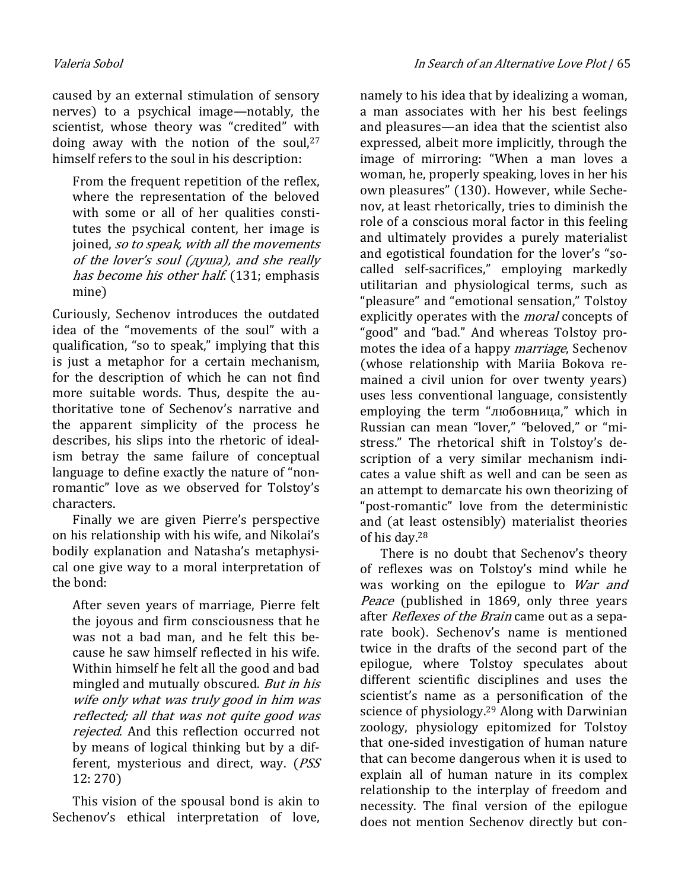caused by an external stimulation of sensory nerves) to a psychical image—notably, the scientist, whose theory was "credited" with doing away with the notion of the soul, $27$ himself refers to the soul in his description:

From the frequent repetition of the reflex, where the representation of the beloved with some or all of her qualities constitutes the psychical content, her image is joined, so to speak, with all the movements of the lover's soul (душа), and she really has become his other half. (131; emphasis mine)

Curiously, Sechenov introduces the outdated idea of the "movements of the soul" with a qualification, "so to speak," implying that this is just a metaphor for a certain mechanism, for the description of which he can not find more suitable words. Thus, despite the authoritative tone of Sechenov's narrative and the apparent simplicity of the process he describes, his slips into the rhetoric of idealism betray the same failure of conceptual language to define exactly the nature of "nonromantic" love as we observed for Tolstoy's characters.

Finally we are given Pierre's perspective on his relationship with his wife, and Nikolai's bodily explanation and Natasha's metaphysical one give way to a moral interpretation of the bond:

After seven years of marriage, Pierre felt the joyous and firm consciousness that he was not a bad man, and he felt this because he saw himself reflected in his wife. Within himself he felt all the good and bad mingled and mutually obscured. But in his wife only what was truly good in him was reflected; all that was not quite good was rejected. And this reflection occurred not by means of logical thinking but by a different, mysterious and direct, way. (PSS 12: 270)

This vision of the spousal bond is akin to Sechenov's ethical interpretation of love,

namely to his idea that by idealizing a woman, a man associates with her his best feelings and pleasures—an idea that the scientist also expressed, albeit more implicitly, through the image of mirroring: "When a man loves a woman, he, properly speaking, loves in her his own pleasures" (130). However, while Sechenov, at least rhetorically, tries to diminish the role of a conscious moral factor in this feeling and ultimately provides a purely materialist and egotistical foundation for the lover's "socalled self-sacrifices," employing markedly utilitarian and physiological terms, such as "pleasure" and "emotional sensation," Tolstoy explicitly operates with the *moral* concepts of "good" and "bad." And whereas Tolstoy promotes the idea of a happy *marriage*, Sechenov (whose relationship with Mariia Bokova remained a civil union for over twenty years) uses less conventional language, consistently employing the term "любовница," which in Russian can mean "lover," "beloved," or "mistress." The rhetorical shift in Tolstoy's description of a very similar mechanism indicates a value shift as well and can be seen as an attempt to demarcate his own theorizing of "post-romantic" love from the deterministic and (at least ostensibly) materialist theories of his day.<sup>28</sup>

There is no doubt that Sechenov's theory of reflexes was on Tolstoy's mind while he was working on the epilogue to War and Peace (published in 1869, only three years after Reflexes of the Brain came out as a separate book). Sechenov's name is mentioned twice in the drafts of the second part of the epilogue, where Tolstoy speculates about different scientific disciplines and uses the scientist's name as a personification of the science of physiology.29 Along with Darwinian zoology, physiology epitomized for Tolstoy that one-sided investigation of human nature that can become dangerous when it is used to explain all of human nature in its complex relationship to the interplay of freedom and necessity. The final version of the epilogue does not mention Sechenov directly but con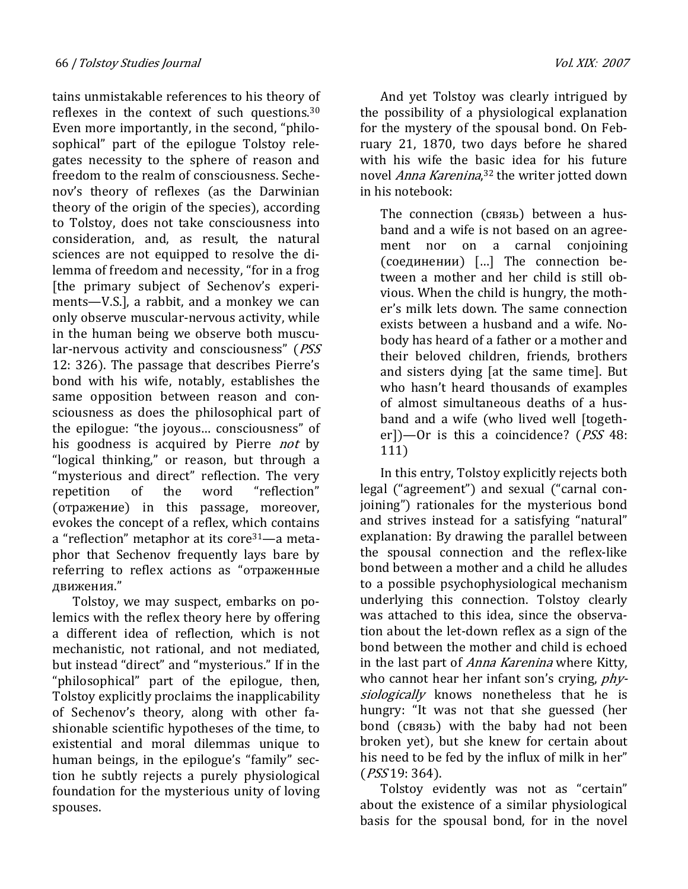tains unmistakable references to his theory of reflexes in the context of such questions.<sup>30</sup> Even more importantly, in the second, "philosophical" part of the epilogue Tolstoy relegates necessity to the sphere of reason and freedom to the realm of consciousness. Sechenov's theory of reflexes (as the Darwinian theory of the origin of the species), according to Tolstoy, does not take consciousness into consideration, and, as result, the natural sciences are not equipped to resolve the dilemma of freedom and necessity, "for in a frog [the primary subject of Sechenov's experiments—V.S.], a rabbit, and a monkey we can only observe muscular-nervous activity, while in the human being we observe both muscular-nervous activity and consciousness" (PSS 12: 326). The passage that describes Pierre's bond with his wife, notably, establishes the same opposition between reason and consciousness as does the philosophical part of the epilogue: "the joyous… consciousness" of his goodness is acquired by Pierre *not* by "logical thinking," or reason, but through a "mysterious and direct" reflection. The very repetition of the word "reflection" (отражение) in this passage, moreover, evokes the concept of a reflex, which contains a "reflection" metaphor at its core31—a metaphor that Sechenov frequently lays bare by referring to reflex actions as "отраженные движения."

Tolstoy, we may suspect, embarks on polemics with the reflex theory here by offering a different idea of reflection, which is not mechanistic, not rational, and not mediated, but instead "direct" and "mysterious." If in the "philosophical" part of the epilogue, then, Tolstoy explicitly proclaims the inapplicability of Sechenov's theory, along with other fashionable scientific hypotheses of the time, to existential and moral dilemmas unique to human beings, in the epilogue's "family" section he subtly rejects a purely physiological foundation for the mysterious unity of loving spouses.

And yet Tolstoy was clearly intrigued by the possibility of a physiological explanation for the mystery of the spousal bond. On February 21, 1870, two days before he shared with his wife the basic idea for his future novel *Anna Karenina*,<sup>32</sup> the writer jotted down in his notebook:

The connection (связь) between a husband and a wife is not based on an agreement nor on a carnal conjoining (соединении) […] The connection between a mother and her child is still obvious. When the child is hungry, the mother's milk lets down. The same connection exists between a husband and a wife. Nobody has heard of a father or a mother and their beloved children, friends, brothers and sisters dying [at the same time]. But who hasn't heard thousands of examples of almost simultaneous deaths of a husband and a wife (who lived well [together])—Or is this a coincidence? (PSS 48: 111)

In this entry, Tolstoy explicitly rejects both legal ("agreement") and sexual ("carnal conjoining") rationales for the mysterious bond and strives instead for a satisfying "natural" explanation: By drawing the parallel between the spousal connection and the reflex-like bond between a mother and a child he alludes to a possible psychophysiological mechanism underlying this connection. Tolstoy clearly was attached to this idea, since the observation about the let-down reflex as a sign of the bond between the mother and child is echoed in the last part of *Anna Karenina* where Kitty, who cannot hear her infant son's crying, *phy*siologically knows nonetheless that he is hungry: "It was not that she guessed (her bond (связь) with the baby had not been broken yet), but she knew for certain about his need to be fed by the influx of milk in her" (PSS 19: 364).

Tolstoy evidently was not as "certain" about the existence of a similar physiological basis for the spousal bond, for in the novel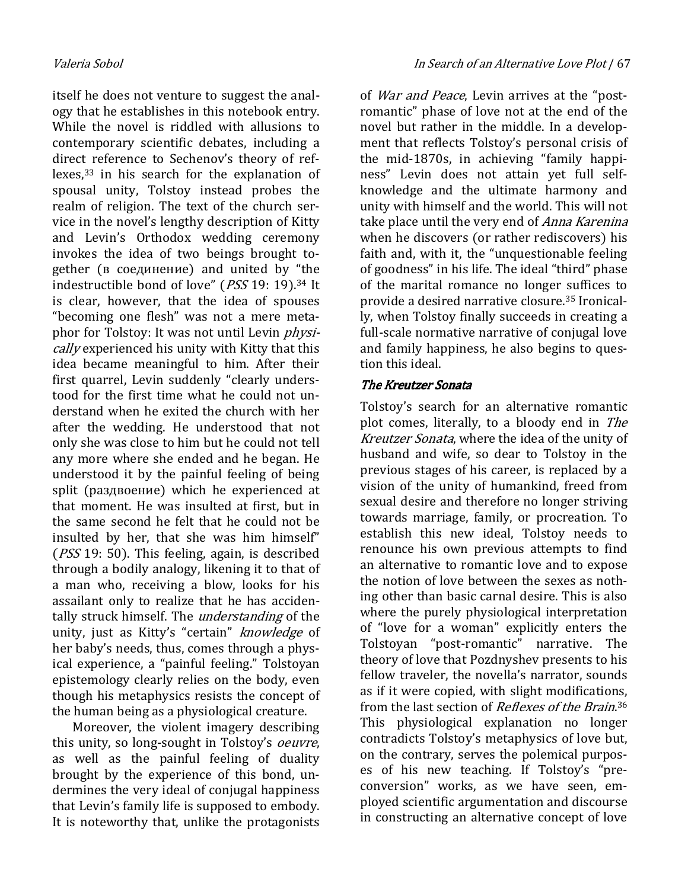itself he does not venture to suggest the analogy that he establishes in this notebook entry. While the novel is riddled with allusions to contemporary scientific debates, including a direct reference to Sechenov's theory of reflexes,33 in his search for the explanation of spousal unity, Tolstoy instead probes the realm of religion. The text of the church service in the novel's lengthy description of Kitty and Levin's Orthodox wedding ceremony invokes the idea of two beings brought together (в соединение) and united by "the indestructible bond of love" (PSS 19: 19).34 It is clear, however, that the idea of spouses "becoming one flesh" was not a mere metaphor for Tolstoy: It was not until Levin *physi*cally experienced his unity with Kitty that this idea became meaningful to him. After their first quarrel, Levin suddenly "clearly understood for the first time what he could not understand when he exited the church with her after the wedding. He understood that not only she was close to him but he could not tell any more where she ended and he began. He understood it by the painful feeling of being split (раздвоение) which he experienced at that moment. He was insulted at first, but in the same second he felt that he could not be insulted by her, that she was him himself" (PSS 19: 50). This feeling, again, is described through a bodily analogy, likening it to that of a man who, receiving a blow, looks for his assailant only to realize that he has accidentally struck himself. The *understanding* of the unity, just as Kitty's "certain" knowledge of her baby's needs, thus, comes through a physical experience, a "painful feeling." Tolstoyan epistemology clearly relies on the body, even though his metaphysics resists the concept of the human being as a physiological creature.

Moreover, the violent imagery describing this unity, so long-sought in Tolstoy's *oeuvre*, as well as the painful feeling of duality brought by the experience of this bond, undermines the very ideal of conjugal happiness that Levin's family life is supposed to embody. It is noteworthy that, unlike the protagonists of War and Peace, Levin arrives at the "postromantic" phase of love not at the end of the novel but rather in the middle. In a development that reflects Tolstoy's personal crisis of the mid-1870s, in achieving "family happiness" Levin does not attain yet full selfknowledge and the ultimate harmony and unity with himself and the world. This will not take place until the very end of *Anna Karenina* when he discovers (or rather rediscovers) his faith and, with it, the "unquestionable feeling of goodness" in his life. The ideal "third" phase of the marital romance no longer suffices to provide a desired narrative closure.35 Ironically, when Tolstoy finally succeeds in creating a full-scale normative narrative of conjugal love and family happiness, he also begins to question this ideal.

# The Kreutzer Sonata

Tolstoy's search for an alternative romantic plot comes, literally, to a bloody end in The Kreutzer Sonata, where the idea of the unity of husband and wife, so dear to Tolstoy in the previous stages of his career, is replaced by a vision of the unity of humankind, freed from sexual desire and therefore no longer striving towards marriage, family, or procreation. To establish this new ideal, Tolstoy needs to renounce his own previous attempts to find an alternative to romantic love and to expose the notion of love between the sexes as nothing other than basic carnal desire. This is also where the purely physiological interpretation of "love for a woman" explicitly enters the Tolstoyan "post-romantic" narrative. The theory of love that Pozdnyshev presents to his fellow traveler, the novella's narrator, sounds as if it were copied, with slight modifications, from the last section of *Reflexes of the Brain*.<sup>36</sup> This physiological explanation no longer contradicts Tolstoy's metaphysics of love but, on the contrary, serves the polemical purposes of his new teaching. If Tolstoy's "preconversion" works, as we have seen, employed scientific argumentation and discourse in constructing an alternative concept of love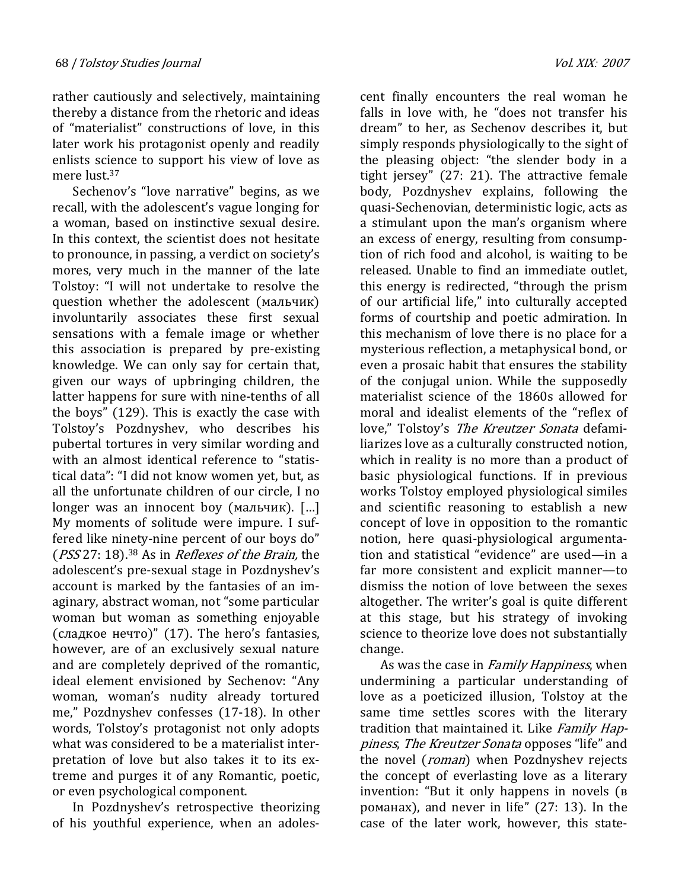rather cautiously and selectively, maintaining thereby a distance from the rhetoric and ideas of "materialist" constructions of love, in this later work his protagonist openly and readily enlists science to support his view of love as mere lust.<sup>37</sup>

Sechenov's "love narrative" begins, as we recall, with the adolescent's vague longing for a woman, based on instinctive sexual desire. In this context, the scientist does not hesitate to pronounce, in passing, a verdict on society's mores, very much in the manner of the late Tolstoy: "I will not undertake to resolve the question whether the adolescent (мальчик) involuntarily associates these first sexual sensations with a female image or whether this association is prepared by pre-existing knowledge. We can only say for certain that, given our ways of upbringing children, the latter happens for sure with nine-tenths of all the boys" (129). This is exactly the case with Tolstoy's Pozdnyshev, who describes his pubertal tortures in very similar wording and with an almost identical reference to "statistical data": "I did not know women yet, but, as all the unfortunate children of our circle, I no longer was an innocent boy (мальчик). […] My moments of solitude were impure. I suffered like ninety-nine percent of our boys do" (PSS 27: 18).<sup>38</sup> As in *Reflexes of the Brain*, the adolescent's pre-sexual stage in Pozdnyshev's account is marked by the fantasies of an imaginary, abstract woman, not "some particular woman but woman as something enjoyable (сладкое нечто)" (17). The hero's fantasies, however, are of an exclusively sexual nature and are completely deprived of the romantic, ideal element envisioned by Sechenov: "Any woman, woman's nudity already tortured me," Pozdnyshev confesses (17-18). In other words, Tolstoy's protagonist not only adopts what was considered to be a materialist interpretation of love but also takes it to its extreme and purges it of any Romantic, poetic, or even psychological component.

In Pozdnyshev's retrospective theorizing of his youthful experience, when an adolescent finally encounters the real woman he falls in love with, he "does not transfer his dream" to her, as Sechenov describes it, but simply responds physiologically to the sight of the pleasing object: "the slender body in a tight jersey" (27: 21). The attractive female body, Pozdnyshev explains, following the quasi-Sechenovian, deterministic logic, acts as a stimulant upon the man's organism where an excess of energy, resulting from consumption of rich food and alcohol, is waiting to be released. Unable to find an immediate outlet, this energy is redirected, "through the prism of our artificial life," into culturally accepted forms of courtship and poetic admiration. In this mechanism of love there is no place for a mysterious reflection, a metaphysical bond, or even a prosaic habit that ensures the stability of the conjugal union. While the supposedly materialist science of the 1860s allowed for moral and idealist elements of the "reflex of love," Tolstoy's The Kreutzer Sonata defamiliarizes love as a culturally constructed notion, which in reality is no more than a product of basic physiological functions. If in previous works Tolstoy employed physiological similes and scientific reasoning to establish a new concept of love in opposition to the romantic notion, here quasi-physiological argumentation and statistical "evidence" are used—in a far more consistent and explicit manner—to dismiss the notion of love between the sexes altogether. The writer's goal is quite different at this stage, but his strategy of invoking science to theorize love does not substantially change.

As was the case in *Family Happiness*, when undermining a particular understanding of love as a poeticized illusion, Tolstoy at the same time settles scores with the literary tradition that maintained it. Like Family Happiness, The Kreutzer Sonata opposes "life" and the novel (*roman*) when Pozdnyshev rejects the concept of everlasting love as a literary invention: "But it only happens in novels (в романах), and never in life" (27: 13). In the case of the later work, however, this state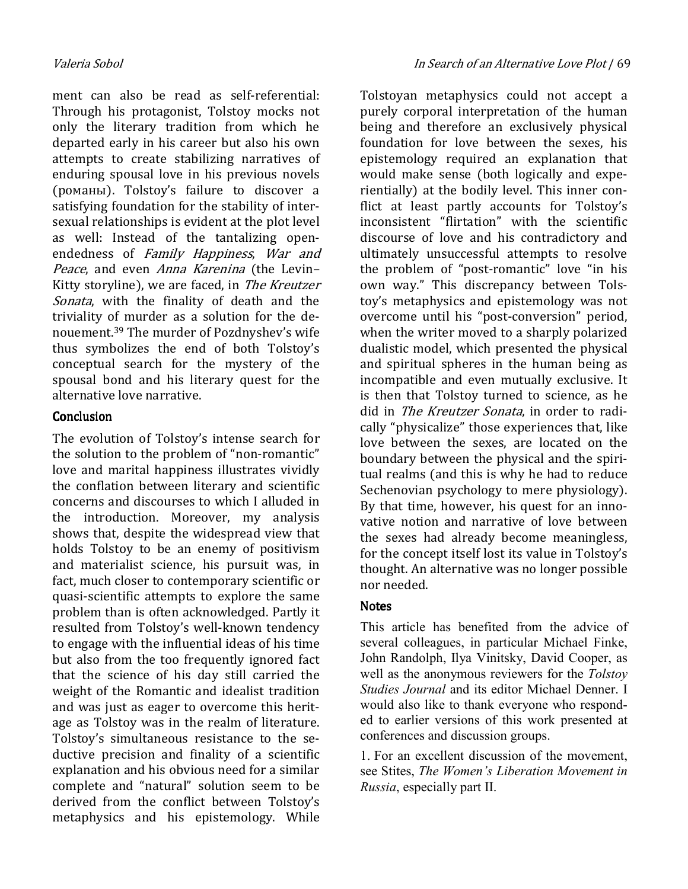ment can also be read as self-referential: Through his protagonist, Tolstoy mocks not only the literary tradition from which he departed early in his career but also his own attempts to create stabilizing narratives of enduring spousal love in his previous novels (романы). Tolstoy's failure to discover a satisfying foundation for the stability of intersexual relationships is evident at the plot level as well: Instead of the tantalizing openendedness of Family Happiness, War and Peace, and even Anna Karenina (the Levin-Kitty storyline), we are faced, in The Kreutzer Sonata, with the finality of death and the triviality of murder as a solution for the denouement.39 The murder of Pozdnyshev's wife thus symbolizes the end of both Tolstoy's conceptual search for the mystery of the spousal bond and his literary quest for the alternative love narrative.

### **Conclusion**

The evolution of Tolstoy's intense search for the solution to the problem of "non-romantic" love and marital happiness illustrates vividly the conflation between literary and scientific concerns and discourses to which I alluded in the introduction. Moreover, my analysis shows that, despite the widespread view that holds Tolstoy to be an enemy of positivism and materialist science, his pursuit was, in fact, much closer to contemporary scientific or quasi-scientific attempts to explore the same problem than is often acknowledged. Partly it resulted from Tolstoy's well-known tendency to engage with the influential ideas of his time but also from the too frequently ignored fact that the science of his day still carried the weight of the Romantic and idealist tradition and was just as eager to overcome this heritage as Tolstoy was in the realm of literature. Tolstoy's simultaneous resistance to the seductive precision and finality of a scientific explanation and his obvious need for a similar complete and "natural" solution seem to be derived from the conflict between Tolstoy's metaphysics and his epistemology. While

Tolstoyan metaphysics could not accept a purely corporal interpretation of the human being and therefore an exclusively physical foundation for love between the sexes, his epistemology required an explanation that would make sense (both logically and experientially) at the bodily level. This inner conflict at least partly accounts for Tolstoy's inconsistent "flirtation" with the scientific discourse of love and his contradictory and ultimately unsuccessful attempts to resolve the problem of "post-romantic" love "in his own way." This discrepancy between Tolstoy's metaphysics and epistemology was not overcome until his "post-conversion" period, when the writer moved to a sharply polarized dualistic model, which presented the physical and spiritual spheres in the human being as incompatible and even mutually exclusive. It is then that Tolstoy turned to science, as he did in *The Kreutzer Sonata*, in order to radically "physicalize" those experiences that, like love between the sexes, are located on the boundary between the physical and the spiritual realms (and this is why he had to reduce Sechenovian psychology to mere physiology). By that time, however, his quest for an innovative notion and narrative of love between the sexes had already become meaningless, for the concept itself lost its value in Tolstoy's thought. An alternative was no longer possible nor needed.

#### **Notes**

This article has benefited from the advice of several colleagues, in particular Michael Finke, John Randolph, Ilya Vinitsky, David Cooper, as well as the anonymous reviewers for the Tolstov Studies Journal and its editor Michael Denner. I would also like to thank everyone who responded to earlier versions of this work presented at conferences and discussion groups.

1. For an excellent discussion of the movement, see Stites, The Women's Liberation Movement in Russia, especially part II.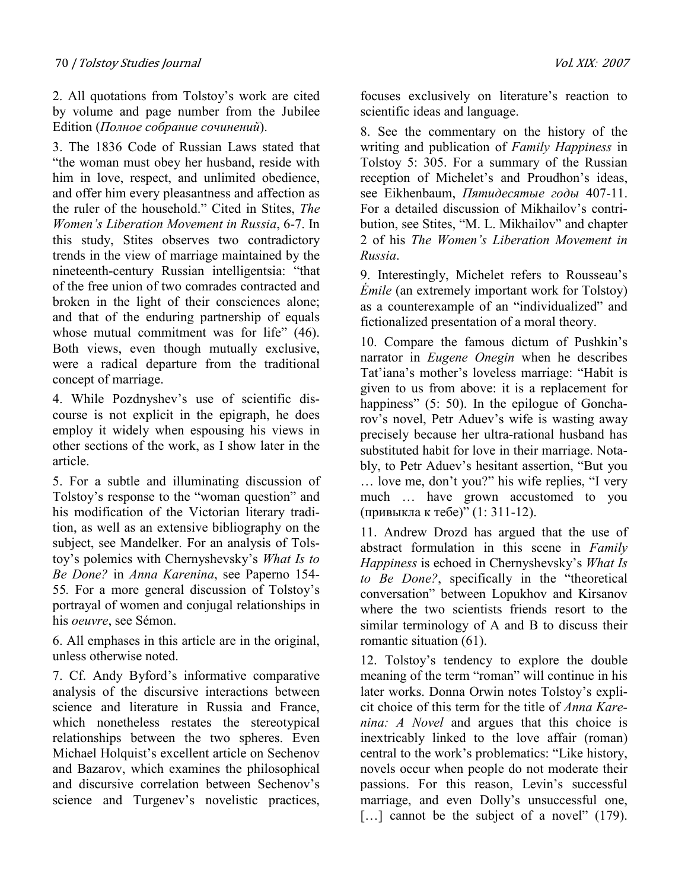2. All quotations from Tolstoy's work are cited by volume and page number from the Jubilee Edition (Полное собрание сочинений).

3. The 1836 Code of Russian Laws stated that "the woman must obey her husband, reside with him in love, respect, and unlimited obedience, and offer him every pleasantness and affection as the ruler of the household." Cited in Stites, The Women's Liberation Movement in Russia, 6-7. In this study, Stites observes two contradictory trends in the view of marriage maintained by the nineteenth-century Russian intelligentsia: "that of the free union of two comrades contracted and broken in the light of their consciences alone; and that of the enduring partnership of equals whose mutual commitment was for life" (46). Both views, even though mutually exclusive, were a radical departure from the traditional concept of marriage.

4. While Pozdnyshev's use of scientific discourse is not explicit in the epigraph, he does employ it widely when espousing his views in other sections of the work, as I show later in the article.

5. For a subtle and illuminating discussion of Tolstoy's response to the "woman question" and his modification of the Victorian literary tradition, as well as an extensive bibliography on the subject, see Mandelker. For an analysis of Tolstoy's polemics with Chernyshevsky's What Is to Be Done? in Anna Karenina, see Paperno 154- 55. For a more general discussion of Tolstoy's portrayal of women and conjugal relationships in his oeuvre, see Sémon.

6. All emphases in this article are in the original, unless otherwise noted.

7. Cf. Andy Byford's informative comparative analysis of the discursive interactions between science and literature in Russia and France, which nonetheless restates the stereotypical relationships between the two spheres. Even Michael Holquist's excellent article on Sechenov and Bazarov, which examines the philosophical and discursive correlation between Sechenov's science and Turgenev's novelistic practices,

focuses exclusively on literature's reaction to scientific ideas and language.

8. See the commentary on the history of the writing and publication of Family Happiness in Tolstoy 5: 305. For a summary of the Russian reception of Michelet's and Proudhon's ideas, see Eikhenbaum, *Пятидесятые годы* 407-11. For a detailed discussion of Mikhailov's contribution, see Stites, "M. L. Mikhailov" and chapter 2 of his The Women's Liberation Movement in Russia.

9. Interestingly, Michelet refers to Rousseau's Émile (an extremely important work for Tolstoy) as a counterexample of an "individualized" and fictionalized presentation of a moral theory.

10. Compare the famous dictum of Pushkin's narrator in Eugene Onegin when he describes Tat'iana's mother's loveless marriage: "Habit is given to us from above: it is a replacement for happiness" (5: 50). In the epilogue of Goncharov's novel, Petr Aduev's wife is wasting away precisely because her ultra-rational husband has substituted habit for love in their marriage. Notably, to Petr Aduev's hesitant assertion, "But you … love me, don't you?" his wife replies, "I very much … have grown accustomed to you (привыкла к тебе)" (1: 311-12).

11. Andrew Drozd has argued that the use of abstract formulation in this scene in Family Happiness is echoed in Chernyshevsky's What Is to Be Done?, specifically in the "theoretical conversation" between Lopukhov and Kirsanov where the two scientists friends resort to the similar terminology of A and B to discuss their romantic situation (61).

12. Tolstoy's tendency to explore the double meaning of the term "roman" will continue in his later works. Donna Orwin notes Tolstoy's explicit choice of this term for the title of Anna Karenina: A Yovel and argues that this choice is inextricably linked to the love affair (roman) central to the work's problematics: "Like history, novels occur when people do not moderate their passions. For this reason, Levin's successful marriage, and even Dolly's unsuccessful one, [...] cannot be the subject of a novel" (179).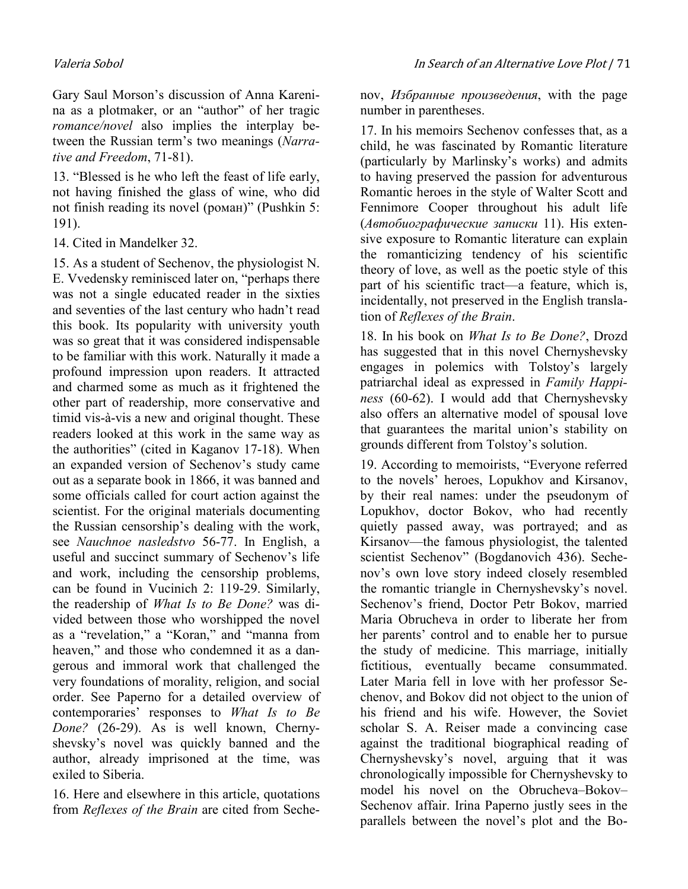Gary Saul Morson's discussion of Anna Karenina as a plotmaker, or an "author" of her tragic romance/novel also implies the interplay between the Russian term's two meanings (Narrative and Freedom, 71-81).

13. "Blessed is he who left the feast of life early, not having finished the glass of wine, who did not finish reading its novel (роман)" (Pushkin 5: 191).

14. Cited in Mandelker 32.

15. As a student of Sechenov, the physiologist N. E. Vvedensky reminisced later on, "perhaps there was not a single educated reader in the sixties and seventies of the last century who hadn't read this book. Its popularity with university youth was so great that it was considered indispensable to be familiar with this work. Naturally it made a profound impression upon readers. It attracted and charmed some as much as it frightened the other part of readership, more conservative and timid vis-à-vis a new and original thought. These readers looked at this work in the same way as the authorities" (cited in Kaganov 17-18). When an expanded version of Sechenov's study came out as a separate book in 1866, it was banned and some officials called for court action against the scientist. For the original materials documenting the Russian censorship's dealing with the work, see Nauchnoe nasledstvo 56-77. In English, a useful and succinct summary of Sechenov's life and work, including the censorship problems, can be found in Vucinich 2: 119-29. Similarly, the readership of What Is to Be Done? was divided between those who worshipped the novel as a "revelation," a "Koran," and "manna from heaven," and those who condemned it as a dangerous and immoral work that challenged the very foundations of morality, religion, and social order. See Paperno for a detailed overview of contemporaries' responses to What Is to Be Done? (26-29). As is well known, Chernyshevsky's novel was quickly banned and the author, already imprisoned at the time, was exiled to Siberia.

16. Here and elsewhere in this article, quotations from Reflexes of the Brain are cited from Sechenov, Избранные произведения, with the page number in parentheses.

17. In his memoirs Sechenov confesses that, as a child, he was fascinated by Romantic literature (particularly by Marlinsky's works) and admits to having preserved the passion for adventurous Romantic heroes in the style of Walter Scott and Fennimore Cooper throughout his adult life (Автобиографические записки 11). His extensive exposure to Romantic literature can explain the romanticizing tendency of his scientific theory of love, as well as the poetic style of this part of his scientific tract—a feature, which is, incidentally, not preserved in the English translation of Reflexes of the Brain.

18. In his book on What Is to Be Done?, Drozd has suggested that in this novel Chernyshevsky engages in polemics with Tolstoy's largely patriarchal ideal as expressed in Family Happiness (60-62). I would add that Chernyshevsky also offers an alternative model of spousal love that guarantees the marital union's stability on grounds different from Tolstoy's solution.

19. According to memoirists, "Everyone referred to the novels' heroes, Lopukhov and Kirsanov, by their real names: under the pseudonym of Lopukhov, doctor Bokov, who had recently quietly passed away, was portrayed; and as Kirsanov—the famous physiologist, the talented scientist Sechenov" (Bogdanovich 436). Sechenov's own love story indeed closely resembled the romantic triangle in Chernyshevsky's novel. Sechenov's friend, Doctor Petr Bokov, married Maria Obrucheva in order to liberate her from her parents' control and to enable her to pursue the study of medicine. This marriage, initially fictitious, eventually became consummated. Later Maria fell in love with her professor Sechenov, and Bokov did not object to the union of his friend and his wife. However, the Soviet scholar S. A. Reiser made a convincing case against the traditional biographical reading of Chernyshevsky's novel, arguing that it was chronologically impossible for Chernyshevsky to model his novel on the Obrucheva–Bokov– Sechenov affair. Irina Paperno justly sees in the parallels between the novel's plot and the Bo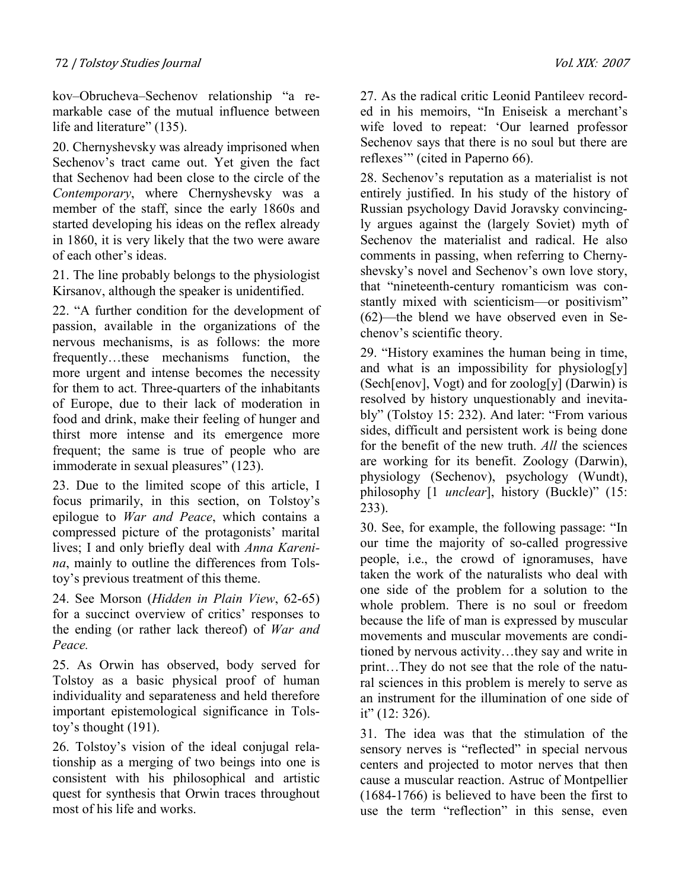kov–Obrucheva–Sechenov relationship "a remarkable case of the mutual influence between life and literature" (135).

20. Chernyshevsky was already imprisoned when Sechenov's tract came out. Yet given the fact that Sechenov had been close to the circle of the Contemporary, where Chernyshevsky was a member of the staff, since the early 1860s and started developing his ideas on the reflex already in 1860, it is very likely that the two were aware of each other's ideas.

21. The line probably belongs to the physiologist Kirsanov, although the speaker is unidentified.

22. "A further condition for the development of passion, available in the organizations of the nervous mechanisms, is as follows: the more frequently…these mechanisms function, the more urgent and intense becomes the necessity for them to act. Three-quarters of the inhabitants of Europe, due to their lack of moderation in food and drink, make their feeling of hunger and thirst more intense and its emergence more frequent; the same is true of people who are immoderate in sexual pleasures" (123).

23. Due to the limited scope of this article, I focus primarily, in this section, on Tolstoy's epilogue to War and Peace, which contains a compressed picture of the protagonists' marital lives; I and only briefly deal with Anna Karenina, mainly to outline the differences from Tolstoy's previous treatment of this theme.

24. See Morson (Hidden in Plain View, 62-65) for a succinct overview of critics' responses to the ending (or rather lack thereof) of War and Peace.

25. As Orwin has observed, body served for Tolstoy as a basic physical proof of human individuality and separateness and held therefore important epistemological significance in Tolstoy's thought (191).

26. Tolstoy's vision of the ideal conjugal relationship as a merging of two beings into one is consistent with his philosophical and artistic quest for synthesis that Orwin traces throughout most of his life and works.

27. As the radical critic Leonid Pantileev recorded in his memoirs, "In Eniseisk a merchant's wife loved to repeat: 'Our learned professor Sechenov says that there is no soul but there are reflexes'" (cited in Paperno 66).

28. Sechenov's reputation as a materialist is not entirely justified. In his study of the history of Russian psychology David Joravsky convincingly argues against the (largely Soviet) myth of Sechenov the materialist and radical. He also comments in passing, when referring to Chernyshevsky's novel and Sechenov's own love story, that "nineteenth-century romanticism was constantly mixed with scienticism—or positivism" (62)—the blend we have observed even in Sechenov's scientific theory.

29. "History examines the human being in time, and what is an impossibility for physiolog[y] (Sech[enov], Vogt) and for zoolog[y] (Darwin) is resolved by history unquestionably and inevitably" (Tolstoy 15: 232). And later: "From various sides, difficult and persistent work is being done for the benefit of the new truth. All the sciences are working for its benefit. Zoology (Darwin), physiology (Sechenov), psychology (Wundt), philosophy [1 *unclear*], history (Buckle)" (15: 233).

30. See, for example, the following passage: "In our time the majority of so-called progressive people, i.e., the crowd of ignoramuses, have taken the work of the naturalists who deal with one side of the problem for a solution to the whole problem. There is no soul or freedom because the life of man is expressed by muscular movements and muscular movements are conditioned by nervous activity…they say and write in print…They do not see that the role of the natural sciences in this problem is merely to serve as an instrument for the illumination of one side of it"  $(12: 326)$ .

31. The idea was that the stimulation of the sensory nerves is "reflected" in special nervous centers and projected to motor nerves that then cause a muscular reaction. Astruc of Montpellier (1684-1766) is believed to have been the first to use the term "reflection" in this sense, even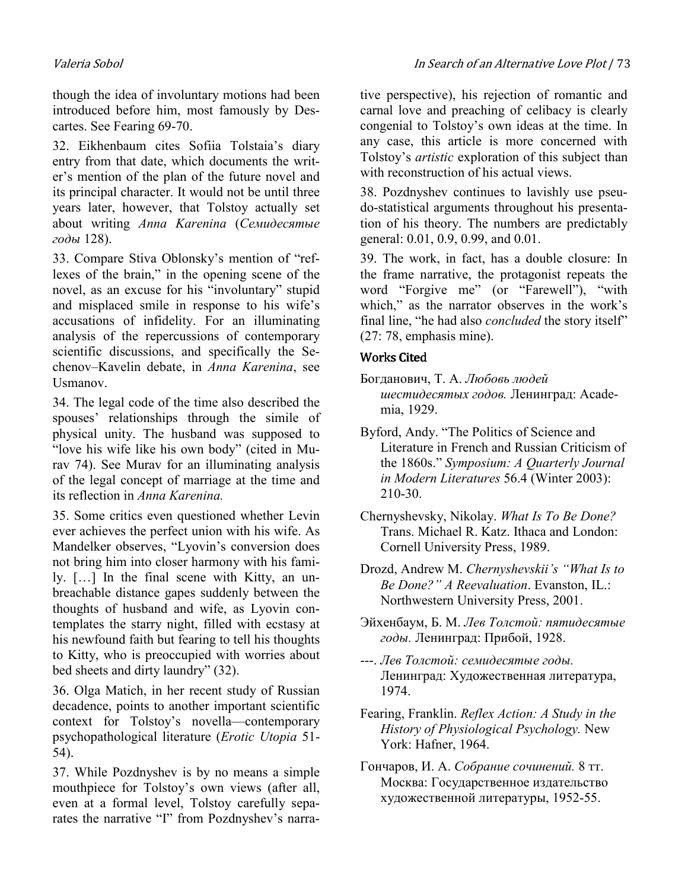though the idea of involuntary motions had been introduced before him, most famously by Descartes. See Fearing 69-70.

32. Eikhenbaum cites Sofiia Tolstaia's diary entry from that date, which documents the writer's mention of the plan of the future novel and its principal character. It would not be until three years later, however, that Tolstoy actually set about writing Anna Karenina (Семидесятые годы 128).

33. Compare Stiva Oblonsky's mention of "reflexes of the brain," in the opening scene of the novel, as an excuse for his "involuntary" stupid and misplaced smile in response to his wife's accusations of infidelity. For an illuminating analysis of the repercussions of contemporary scientific discussions, and specifically the Sechenov–Kavelin debate, in Anna Karenina, see Usmanov.

34. The legal code of the time also described the spouses' relationships through the simile of physical unity. The husband was supposed to "love his wife like his own body" (cited in Murav 74). See Murav for an illuminating analysis of the legal concept of marriage at the time and its reflection in Anna Karenina.

35. Some critics even questioned whether Levin ever achieves the perfect union with his wife. As Mandelker observes, "Lyovin's conversion does not bring him into closer harmony with his family. […] In the final scene with Kitty, an unbreachable distance gapes suddenly between the thoughts of husband and wife, as Lyovin contemplates the starry night, filled with ecstasy at his newfound faith but fearing to tell his thoughts to Kitty, who is preoccupied with worries about bed sheets and dirty laundry" (32).

36. Olga Matich, in her recent study of Russian decadence, points to another important scientific context for Tolstoy's novella—contemporary psychopathological literature (Erotic Utopia 51- 54).

37. While Pozdnyshev is by no means a simple mouthpiece for Tolstoy's own views (after all, even at a formal level, Tolstoy carefully separates the narrative "I" from Pozdnyshev's narracarnal love and preaching of celibacy is clearly congenial to Tolstoy's own ideas at the time. In any case, this article is more concerned with Tolstoy's *artistic* exploration of this subject than with reconstruction of his actual views.

38. Pozdnyshev continues to lavishly use pseudo-statistical arguments throughout his presentation of his theory. The numbers are predictably general: 0.01, 0.9, 0.99, and 0.01.

39. The work, in fact, has a double closure: In the frame narrative, the protagonist repeats the word "Forgive me" (or "Farewell"), "with which," as the narrator observes in the work's final line, "he had also *concluded* the story itself" (27: 78, emphasis mine).

# **Works Cited**

- Богданович, Т. А. Любовь людей шестидесятых годов. Ленинград: Academia, 1929.
- Byford, Andy. "The Politics of Science and Literature in French and Russian Criticism of the 1860s." Symposium: A Quarterly Journal in Modern Literatures 56.4 (Winter 2003): 210-30.
- Chernyshevsky, Nikolay. What Is To Be Done? Trans. Michael R. Katz. Ithaca and London: Cornell University Press, 1989.
- Drozd, Andrew M. Chernyshevskii's "What Is to Be Done?" A Reevaluation. Evanston, IL.: Northwestern University Press, 2001.
- Эйхенбаум, Б. М. Лев Толстой: пятидесятые годы. Ленинград: Прибой, 1928.
- ---. Лев Толстой: семидесятые годы. Ленинград: Художественная литература, 1974.
- Fearing, Franklin. Reflex Action: A Study in the History of Physiological Psychology. New York: Hafner, 1964.
- Гончаров, И. А. Собрание сочинений. 8 тт. Москва: Государственное издательство художественной литературы, 1952-55.